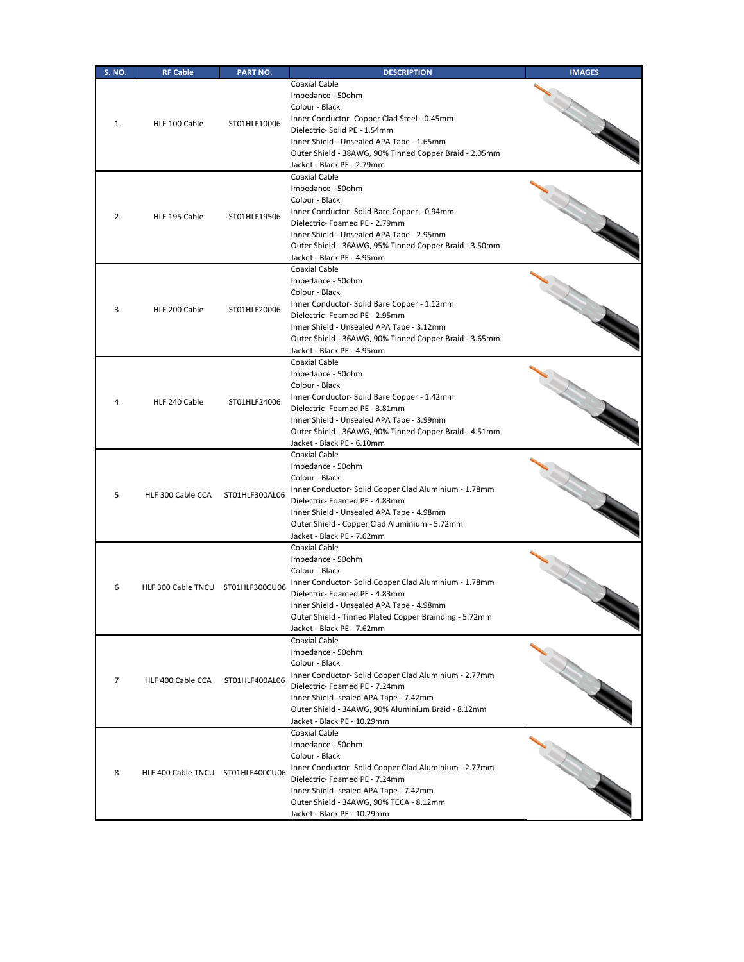| <b>S. NO.</b> | <b>RF Cable</b>                   | <b>PART NO.</b> | <b>DESCRIPTION</b>                                                                                                                                                                                                                                                                         | <b>IMAGES</b> |
|---------------|-----------------------------------|-----------------|--------------------------------------------------------------------------------------------------------------------------------------------------------------------------------------------------------------------------------------------------------------------------------------------|---------------|
| 1             | HLF 100 Cable                     | ST01HLF10006    | <b>Coaxial Cable</b><br>Impedance - 50ohm<br>Colour - Black<br>Inner Conductor- Copper Clad Steel - 0.45mm<br>Dielectric- Solid PE - 1.54mm<br>Inner Shield - Unsealed APA Tape - 1.65mm<br>Outer Shield - 38AWG, 90% Tinned Copper Braid - 2.05mm<br>Jacket - Black PE - 2.79mm           |               |
| 2             | HLF 195 Cable                     | ST01HLF19506    | <b>Coaxial Cable</b><br>Impedance - 50ohm<br>Colour - Black<br>Inner Conductor- Solid Bare Copper - 0.94mm<br>Dielectric-Foamed PE - 2.79mm<br>Inner Shield - Unsealed APA Tape - 2.95mm<br>Outer Shield - 36AWG, 95% Tinned Copper Braid - 3.50mm<br>Jacket - Black PE - 4.95mm           |               |
| 3             | HLF 200 Cable                     | ST01HLF20006    | <b>Coaxial Cable</b><br>Impedance - 50ohm<br>Colour - Black<br>Inner Conductor- Solid Bare Copper - 1.12mm<br>Dielectric-Foamed PE - 2.95mm<br>Inner Shield - Unsealed APA Tape - 3.12mm<br>Outer Shield - 36AWG, 90% Tinned Copper Braid - 3.65mm<br>Jacket - Black PE - 4.95mm           |               |
| 4             | HLF 240 Cable                     | ST01HLF24006    | <b>Coaxial Cable</b><br>Impedance - 50ohm<br>Colour - Black<br>Inner Conductor- Solid Bare Copper - 1.42mm<br>Dielectric-Foamed PE - 3.81mm<br>Inner Shield - Unsealed APA Tape - 3.99mm<br>Outer Shield - 36AWG, 90% Tinned Copper Braid - 4.51mm<br>Jacket - Black PE - 6.10mm           |               |
| 5             | HLF 300 Cable CCA                 | ST01HLF300AL06  | <b>Coaxial Cable</b><br>Impedance - 50ohm<br>Colour - Black<br>Inner Conductor- Solid Copper Clad Aluminium - 1.78mm<br>Dielectric- Foamed PE - 4.83mm<br>Inner Shield - Unsealed APA Tape - 4.98mm<br>Outer Shield - Copper Clad Aluminium - 5.72mm<br>Jacket - Black PE - 7.62mm         |               |
| 6             | HLF 300 Cable TNCU ST01HLF300CU06 |                 | <b>Coaxial Cable</b><br>Impedance - 50ohm<br>Colour - Black<br>Inner Conductor- Solid Copper Clad Aluminium - 1.78mm<br>Dielectric-Foamed PE - 4.83mm<br>Inner Shield - Unsealed APA Tape - 4.98mm<br>Outer Shield - Tinned Plated Copper Brainding - 5.72mm<br>Jacket - Black PE - 7.62mm |               |
| 7             | HLF 400 Cable CCA                 | ST01HLF400AL06  | <b>Coaxial Cable</b><br>Impedance - 50ohm<br>Colour - Black<br>Inner Conductor- Solid Copper Clad Aluminium - 2.77mm<br>Dielectric-Foamed PE - 7.24mm<br>Inner Shield -sealed APA Tape - 7.42mm<br>Outer Shield - 34AWG, 90% Aluminium Braid - 8.12mm<br>Jacket - Black PE - 10.29mm       |               |
| 8             | HLF 400 Cable TNCU ST01HLF400CU06 |                 | <b>Coaxial Cable</b><br>Impedance - 50ohm<br>Colour - Black<br>Inner Conductor- Solid Copper Clad Aluminium - 2.77mm<br>Dielectric- Foamed PE - 7.24mm<br>Inner Shield -sealed APA Tape - 7.42mm<br>Outer Shield - 34AWG, 90% TCCA - 8.12mm<br>Jacket - Black PE - 10.29mm                 |               |